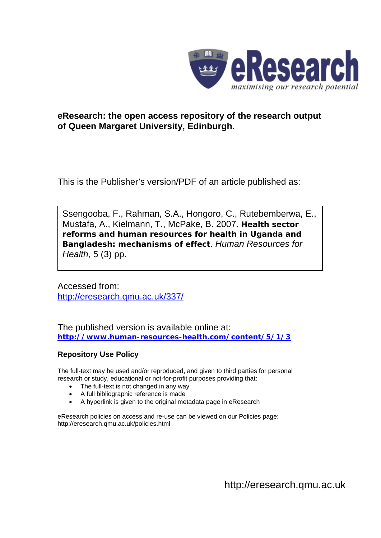

# **eResearch: the open access repository of the research output of Queen Margaret University, Edinburgh.**

This is the Publisher's version/PDF of an article published as:

Ssengooba, F., Rahman, S.A., Hongoro, C., Rutebemberwa, E., Mustafa, A., Kielmann, T., McPake, B. 2007. **Health sector reforms and human resources for health in Uganda and Bangladesh: mechanisms of effect**. *Human Resources for Health*, 5 (3) pp.

Accessed from: <http://eresearch.qmu.ac.uk/337/>

The published version is available online at: **<http://www.human-resources-health.com/content/5/1/3>**

## **Repository Use Policy**

The full-text may be used and/or reproduced, and given to third parties for personal research or study, educational or not-for-profit purposes providing that:

- The full-text is not changed in any way
- A full bibliographic reference is made
- A hyperlink is given to the original metadata page in eResearch

eResearch policies on access and re-use can be viewed on our Policies page: <http://eresearch.qmu.ac.uk/policies.html>

[http://eresearch.qmu.ac.uk](http://eresearch.qmu.ac.uk/)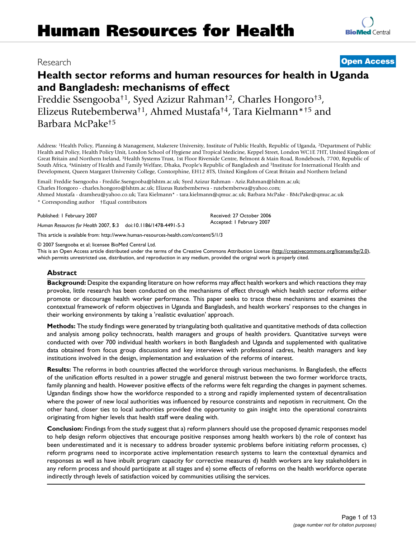# **Health sector reforms and human resources for health in Uganda and Bangladesh: mechanisms of effect**

Freddie Ssengooba†1, Syed Azizur Rahman†2, Charles Hongoro†3, Elizeus Rutebemberwa†1, Ahmed Mustafa†4, Tara Kielmann\*†5 and Barbara McPake†5

Address: 1Health Policy, Planning & Management, Makerere University, Institute of Public Health, Republic of Uganda, 2Department of Public Health and Policy, Health Policy Unit, London School of Hygiene and Tropical Medicine, Keppel Street, London WC1E 7HT, United Kingdom of Great Britain and Northern Ireland, 3Health Systems Trust, 1st Floor Riverside Centre, Belmont & Main Road, Rondebosch, 7700, Republic of South Africa, 4Ministry of Health and Family Welfare, Dhaka, People's Republic of Bangladesh and 5Institute for International Health and Development, Queen Margaret University College, Corstorphine, EH12 8TS, United Kingdom of Great Britain and Northern Ireland

Email: Freddie Ssengooba - Freddie.Ssengooba@lshtm.ac.uk; Syed Azizur Rahman - Aziz.Rahman@lshtm.ac.uk; Charles Hongoro - charles.hongoro@lshtm.ac.uk; Elizeus Rutebemberwa - rutebemberwa@yahoo.com; Ahmed Mustafa - dramheu@yahoo.co.uk; Tara Kielmann\* - tara.kielmann@qmuc.ac.uk; Barbara McPake - BMcPake@qmuc.ac.uk \* Corresponding author †Equal contributors

Published: 1 February 2007

*Human Resources for Health* 2007, **5**:3 doi:10.1186/1478-4491-5-3

[This article is available from: http://www.human-resources-health.com/content/5/1/3](http://www.human-resources-health.com/content/5/1/3)

© 2007 Ssengooba et al; licensee BioMed Central Ltd.

This is an Open Access article distributed under the terms of the Creative Commons Attribution License [\(http://creativecommons.org/licenses/by/2.0\)](http://creativecommons.org/licenses/by/2.0), which permits unrestricted use, distribution, and reproduction in any medium, provided the original work is properly cited.

### **Abstract**

**Background:** Despite the expanding literature on how reforms may affect health workers and which reactions they may provoke, little research has been conducted on the mechanisms of effect through which health sector reforms either promote or discourage health worker performance. This paper seeks to trace these mechanisms and examines the contextual framework of reform objectives in Uganda and Bangladesh, and health workers' responses to the changes in their working environments by taking a 'realistic evaluation' approach.

**Methods:** The study findings were generated by triangulating both qualitative and quantitative methods of data collection and analysis among policy technocrats, health managers and groups of health providers. Quantitative surveys were conducted with over 700 individual health workers in both Bangladesh and Uganda and supplemented with qualitative data obtained from focus group discussions and key interviews with professional cadres, health managers and key institutions involved in the design, implementation and evaluation of the reforms of interest.

**Results:** The reforms in both countries affected the workforce through various mechanisms. In Bangladesh, the effects of the unification efforts resulted in a power struggle and general mistrust between the two former workforce tracts, family planning and health. However positive effects of the reforms were felt regarding the changes in payment schemes. Ugandan findings show how the workforce responded to a strong and rapidly implemented system of decentralisation where the power of new local authorities was influenced by resource constraints and nepotism in recruitment. On the other hand, closer ties to local authorities provided the opportunity to gain insight into the operational constraints originating from higher levels that health staff were dealing with.

**Conclusion:** Findings from the study suggest that a) reform planners should use the proposed dynamic responses model to help design reform objectives that encourage positive responses among health workers b) the role of context has been underestimated and it is necessary to address broader systemic problems before initiating reform processes, c) reform programs need to incorporate active implementation research systems to learn the contextual dynamics and responses as well as have inbuilt program capacity for corrective measures d) health workers are key stakeholders in any reform process and should participate at all stages and e) some effects of reforms on the health workforce operate indirectly through levels of satisfaction voiced by communities utilising the services.

## Research **[Open Access](http://www.biomedcentral.com/info/about/charter/)**

Received: 27 October 2006 Accepted: 1 February 2007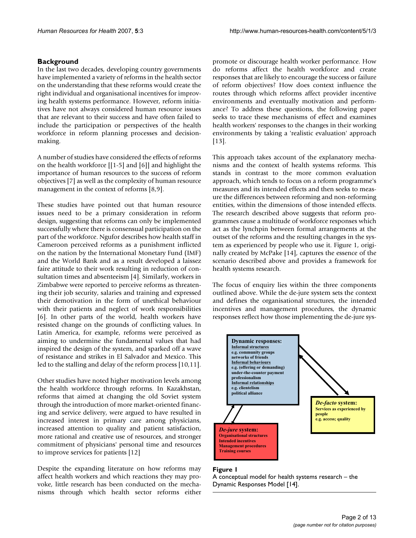#### **Background**

In the last two decades, developing country governments have implemented a variety of reforms in the health sector on the understanding that these reforms would create the right individual and organisational incentives for improving health systems performance. However, reform initiatives have not always considered human resource issues that are relevant to their success and have often failed to include the participation or perspectives of the health workforce in reform planning processes and decisionmaking.

A number of studies have considered the effects of reforms on the health workforce [[1-5] and [6]] and highlight the importance of human resources to the success of reform objectives [7] as well as the complexity of human resource management in the context of reforms [8,9].

These studies have pointed out that human resource issues need to be a primary consideration in reform design, suggesting that reforms can only be implemented successfully where there is consensual participation on the part of the workforce. Ngufor describes how health staff in Cameroon perceived reforms as a punishment inflicted on the nation by the International Monetary Fund (IMF) and the World Bank and as a result developed a laissez faire attitude to their work resulting in reduction of consultation times and absenteeism [4]. Similarly, workers in Zimbabwe were reported to perceive reforms as threatening their job security, salaries and training and expressed their demotivation in the form of unethical behaviour with their patients and neglect of work responsibilities [6]. In other parts of the world, health workers have resisted change on the grounds of conflicting values. In Latin America, for example, reforms were perceived as aiming to undermine the fundamental values that had inspired the design of the system, and sparked off a wave of resistance and strikes in El Salvador and Mexico. This led to the stalling and delay of the reform process [10,11].

Other studies have noted higher motivation levels among the health workforce through reforms. In Kazakhstan, reforms that aimed at changing the old Soviet system through the introduction of more market-oriented financing and service delivery, were argued to have resulted in increased interest in primary care among physicians, increased attention to quality and patient satisfaction, more rational and creative use of resources, and stronger commitment of physicians' personal time and resources to improve services for patients [12]

Despite the expanding literature on how reforms may affect health workers and which reactions they may provoke, little research has been conducted on the mechanisms through which health sector reforms either

promote or discourage health worker performance. How do reforms affect the health workforce and create responses that are likely to encourage the success or failure of reform objectives? How does context influence the routes through which reforms affect provider incentive environments and eventually motivation and performance? To address these questions, the following paper seeks to trace these mechanisms of effect and examines health workers' responses to the changes in their working environments by taking a 'realistic evaluation' approach [13].

This approach takes account of the explanatory mechanisms and the context of health systems reforms. This stands in contrast to the more common evaluation approach, which tends to focus on a reform programme's measures and its intended effects and then seeks to measure the differences between reforming and non-reforming entities, within the dimensions of those intended effects. The research described above suggests that reform programmes cause a multitude of workforce responses which act as the lynchpin between formal arrangements at the outset of the reforms and the resulting changes in the system as experienced by people who use it. Figure 1, originally created by McPake [14], captures the essence of the scenario described above and provides a framework for health systems research.

The focus of enquiry lies within the three components outlined above. While the de-jure system sets the context and defines the organisational structures, the intended incentives and management procedures, the dynamic responses reflect how those implementing the de-jure sys-



#### Figure I

A conceptual model for health systems research – the Dynamic Responses Model [14].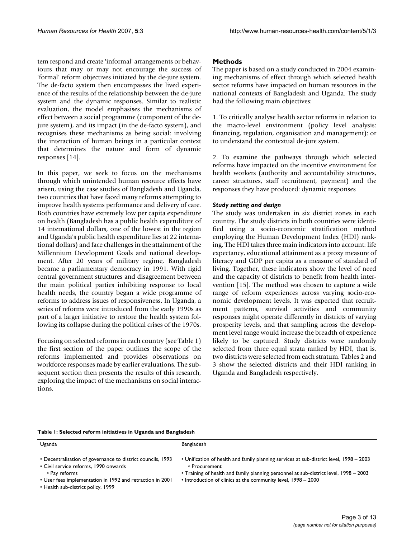tem respond and create 'informal' arrangements or behaviours that may or may not encourage the success of 'formal' reform objectives initiated by the de-jure system. The de-facto system then encompasses the lived experience of the results of the relationship between the de-jure system and the dynamic responses. Similar to realistic evaluation, the model emphasises the mechanisms of effect between a social programme (component of the dejure system), and its impact (in the de-facto system), and recognises these mechanisms as being social: involving the interaction of human beings in a particular context that determines the nature and form of dynamic responses [14].

In this paper, we seek to focus on the mechanisms through which unintended human resource effects have arisen, using the case studies of Bangladesh and Uganda, two countries that have faced many reforms attempting to improve health systems performance and delivery of care. Both countries have extremely low per capita expenditure on health (Bangladesh has a public health expenditure of 14 international dollars, one of the lowest in the region and Uganda's public health expenditure lies at 22 international dollars) and face challenges in the attainment of the Millennium Development Goals and national development. After 20 years of military regime, Bangladesh became a parliamentary democracy in 1991. With rigid central government structures and disagreement between the main political parties inhibiting response to local health needs, the country began a wide programme of reforms to address issues of responsiveness. In Uganda, a series of reforms were introduced from the early 1990s as part of a larger initiative to restore the health system following its collapse during the political crises of the 1970s.

Focusing on selected reforms in each country (see Table 1) the first section of the paper outlines the scope of the reforms implemented and provides observations on workforce responses made by earlier evaluations. The subsequent section then presents the results of this research, exploring the impact of the mechanisms on social interactions.

### **Methods**

The paper is based on a study conducted in 2004 examining mechanisms of effect through which selected health sector reforms have impacted on human resources in the national contexts of Bangladesh and Uganda. The study had the following main objectives:

1. To critically analyse health sector reforms in relation to the macro-level environment (policy level analysis: financing, regulation, organisation and management): or to understand the contextual de-jure system.

2. To examine the pathways through which selected reforms have impacted on the incentive environment for health workers (authority and accountability structures, career structures, staff recruitment, payment) and the responses they have produced: dynamic responses

#### *Study setting and design*

The study was undertaken in six district zones in each country. The study districts in both countries were identified using a socio-economic stratification method employing the Human Development Index (HDI) ranking. The HDI takes three main indicators into account: life expectancy, educational attainment as a proxy measure of literacy and GDP per capita as a measure of standard of living. Together, these indicators show the level of need and the capacity of districts to benefit from health intervention [15]. The method was chosen to capture a wide range of reform experiences across varying socio-economic development levels. It was expected that recruitment patterns, survival activities and community responses might operate differently in districts of varying prosperity levels, and that sampling across the development level range would increase the breadth of experience likely to be captured. Study districts were randomly selected from three equal strata ranked by HDI, that is, two districts were selected from each stratum. Tables 2 and 3 show the selected districts and their HDI ranking in Uganda and Bangladesh respectively.

#### **Table 1: Selected reform initiatives in Uganda and Bangladesh**

| Uganda                                                                                                                                                                                                                   | Bangladesh                                                                                                                                                                                                                                                         |
|--------------------------------------------------------------------------------------------------------------------------------------------------------------------------------------------------------------------------|--------------------------------------------------------------------------------------------------------------------------------------------------------------------------------------------------------------------------------------------------------------------|
| • Decentralisation of governance to district councils, 1993<br>• Civil service reforms, 1990 onwards<br>∘ Pay reforms<br>• User fees implementation in 1992 and retraction in 2001<br>• Health sub-district policy, 1999 | • Unification of health and family planning services at sub-district level, 1998 – 2003<br>• Procurement<br>• Training of health and family planning personnel at sub-district level, 1998 - 2003<br>• Introduction of clinics at the community level, 1998 - 2000 |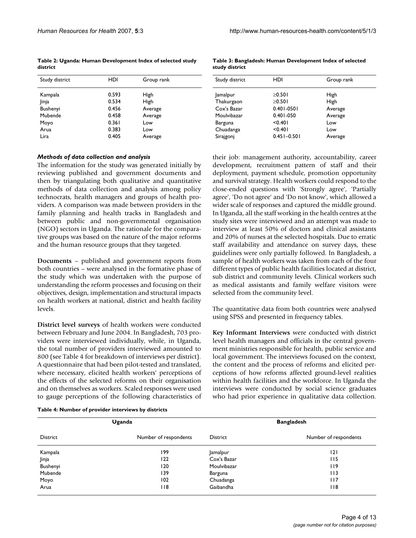| Study district | HDI   | Group rank |  |
|----------------|-------|------------|--|
| Kampala        | 0.593 | High       |  |
| linja          | 0.534 | High       |  |
| Bushenyi       | 0.456 | Average    |  |
| Mubende        | 0.458 | Average    |  |
| Moyo           | 0.361 | Low        |  |
| Arua           | 0.383 | Low        |  |
| Lira           | 0.405 | Average    |  |

**Table 2: Uganda: Human Development Index of selected study district**

#### *Methods of data collection and analysis*

The information for the study was generated initially by reviewing published and government documents and then by triangulating both qualitative and quantitative methods of data collection and analysis among policy technocrats, health managers and groups of health providers. A comparison was made between providers in the family planning and health tracks in Bangladesh and between public and non-governmental organisation (NGO) sectors in Uganda. The rationale for the comparative groups was based on the nature of the major reforms and the human resource groups that they targeted.

**Documents** – published and government reports from both countries – were analysed in the formative phase of the study which was undertaken with the purpose of understanding the reform processes and focusing on their objectives, design, implementation and structural impacts on health workers at national, district and health facility levels.

**District level surveys** of health workers were conducted between February and June 2004. In Bangladesh, 703 providers were interviewed individually, while, in Uganda, the total number of providers interviewed amounted to 800 (see Table 4 for breakdown of interviews per district). A questionnaire that had been pilot-tested and translated, where necessary, elicited health workers' perceptions of the effects of the selected reforms on their organisation and on themselves as workers. Scaled responses were used to gauge perceptions of the following characteristics of

**Table 3: Bangladesh: Human Development Index of selected study district**

| Study district | HDI             | Group rank |
|----------------|-----------------|------------|
| lamalpur       | >0.501          | High       |
| Thakurgaon     | >0.501          | High       |
| Cox's Bazar    | $0.401 - 0501$  | Average    |
| Moulvibazar    | $0.401 - 050$   | Average    |
| Barguna        | < 0.401         | Low        |
| Chuadanga      | < 0.401         | Low        |
| Sirajgonj      | $0.451 - 0.501$ | Average    |

their job: management authority, accountability, career development, recruitment pattern of staff and their deployment, payment schedule, promotion opportunity and survival strategy. Health workers could respond to the close-ended questions with 'Strongly agree', 'Partially agree', 'Do not agree' and 'Do not know', which allowed a wider scale of responses and captured the middle ground. In Uganda, all the staff working in the health centres at the study sites were interviewed and an attempt was made to interview at least 50% of doctors and clinical assistants and 20% of nurses at the selected hospitals. Due to erratic staff availability and attendance on survey days, these guidelines were only partially followed. In Bangladesh, a sample of health workers was taken from each of the four different types of public health facilities located at district, sub district and community levels. Clinical workers such as medical assistants and family welfare visitors were selected from the community level.

The quantitative data from both countries were analysed using SPSS and presented in frequency tables.

**Key Informant Interviews** were conducted with district level health managers and officials in the central government ministries responsible for health, public service and local government. The interviews focused on the context, the content and the process of reforms and elicited perceptions of how reforms affected ground-level realities within health facilities and the workforce. In Uganda the interviews were conducted by social science graduates who had prior experience in qualitative data collection.

**Table 4: Number of provider interviews by districts**

| Uganda          |                       | <b>Bangladesh</b> |                       |  |
|-----------------|-----------------------|-------------------|-----------------------|--|
| <b>District</b> | Number of respondents | <b>District</b>   | Number of respondents |  |
| Kampala         | 199                   | Jamalpur          | 2                     |  |
| Jinja           | 122                   | Cox's Bazar       | 115                   |  |
| Bushenyi        | 120                   | Moulvibazar       | 119                   |  |
| Mubende         | 139                   | Barguna           | 113                   |  |
| Moyo            | 102                   | Chuadanga         | 117                   |  |
| Arua            | l 18                  | Gaibandha         | I 18                  |  |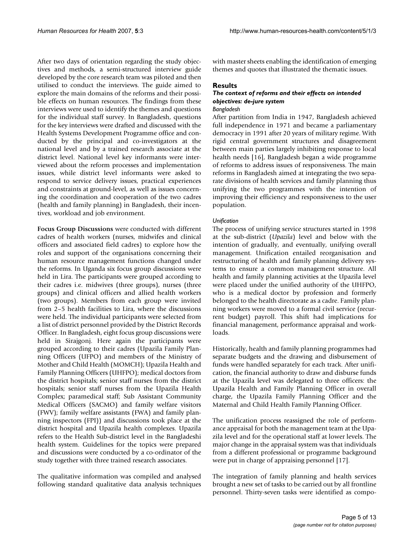After two days of orientation regarding the study objectives and methods, a semi-structured interview guide developed by the core research team was piloted and then utilised to conduct the interviews. The guide aimed to explore the main domains of the reforms and their possible effects on human resources. The findings from these interviews were used to identify the themes and questions for the individual staff survey. In Bangladesh, questions for the key interviews were drafted and discussed with the Health Systems Development Programme office and conducted by the principal and co-investigators at the national level and by a trained research associate at the district level. National level key informants were interviewed about the reform processes and implementation issues, while district level informants were asked to respond to service delivery issues, practical experiences and constraints at ground-level, as well as issues concerning the coordination and cooperation of the two cadres (health and family planning) in Bangladesh, their incentives, workload and job environment.

**Focus Group Discussions** were conducted with different cadres of health workers (nurses, midwifes and clinical officers and associated field cadres) to explore how the roles and support of the organisations concerning their human resource management functions changed under the reforms. In Uganda six focus group discussions were held in Lira. The participants were grouped according to their cadres i.e. midwives (three groups), nurses (three groups) and clinical officers and allied health workers (two groups). Members from each group were invited from 2–5 health facilities to Lira, where the discussions were held. The individual participants were selected from a list of district personnel provided by the District Records Officer. In Bangladesh, eight focus group discussions were held in Sirajgonj. Here again the participants were grouped according to their cadres (Upazila Family Planning Officers (UFPO) and members of the Ministry of Mother and Child Health (MOMCH); Upazila Health and Family Planning Officers (UHFPO); medical doctors from the district hospitals; senior staff nurses from the district hospitals; senior staff nurses from the Upazila Health Complex; paramedical staff; Sub Assistant Community Medical Officers (SACMO) and family welfare visitors (FWV); family welfare assistants (FWA) and family planning inspectors (FPI)) and discussions took place at the district hospital and Upazila health complexes. Upazila refers to the Health Sub-district level in the Bangladeshi health system. Guidelines for the topics were prepared and discussions were conducted by a co-ordinator of the study together with three trained research associates.

The qualitative information was compiled and analysed following standard qualitative data analysis techniques

with master sheets enabling the identification of emerging themes and quotes that illustrated the thematic issues.

### **Results**

#### *The context of reforms and their effects on intended objectives: de-jure system Bangladesh*

After partition from India in 1947, Bangladesh achieved full independence in 1971 and became a parliamentary democracy in 1991 after 20 years of military regime. With rigid central government structures and disagreement between main parties largely inhibiting response to local health needs [16], Bangladesh began a wide programme of reforms to address issues of responsiveness. The main reforms in Bangladesh aimed at integrating the two separate divisions of health services and family planning thus unifying the two programmes with the intention of improving their efficiency and responsiveness to the user population.

#### *Unification*

The process of unifying service structures started in 1998 at the sub-district (*Upazila*) level and below with the intention of gradually, and eventually, unifying overall management. Unification entailed reorganisation and restructuring of health and family planning delivery systems to ensure a common management structure. All health and family planning activities at the Upazila level were placed under the unified authority of the UHFPO, who is a medical doctor by profession and formerly belonged to the health directorate as a cadre. Family planning workers were moved to a formal civil service (recurrent budget) payroll. This shift had implications for financial management, performance appraisal and workloads.

Historically, health and family planning programmes had separate budgets and the drawing and disbursement of funds were handled separately for each track. After unification, the financial authority to draw and disburse funds at the Upazila level was delegated to three officers: the Upazila Health and Family Planning Officer in overall charge, the Upazila Family Planning Officer and the Maternal and Child Health Family Planning Officer.

The unification process reassigned the role of performance appraisal for both the management team at the Upazila level and for the operational staff at lower levels. The major change in the appraisal system was that individuals from a different professional or programme background were put in charge of appraising personnel [17].

The integration of family planning and health services brought a new set of tasks to be carried out by all frontline personnel. Thirty-seven tasks were identified as compo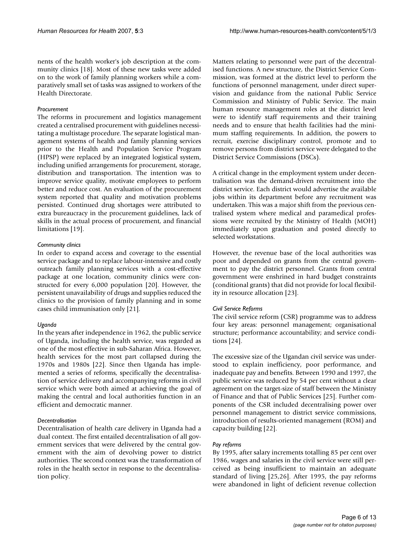nents of the health worker's job description at the community clinics [18]. Most of these new tasks were added on to the work of family planning workers while a comparatively small set of tasks was assigned to workers of the Health Directorate.

#### *Procurement*

The reforms in procurement and logistics management created a centralised procurement with guidelines necessitating a multistage procedure. The separate logistical management systems of health and family planning services prior to the Health and Population Service Program (HPSP) were replaced by an integrated logistical system, including unified arrangements for procurement, storage, distribution and transportation. The intention was to improve service quality, motivate employees to perform better and reduce cost. An evaluation of the procurement system reported that quality and motivation problems persisted. Continued drug shortages were attributed to extra bureaucracy in the procurement guidelines, lack of skills in the actual process of procurement, and financial limitations [19].

#### *Community clinics*

In order to expand access and coverage to the essential service package and to replace labour-intensive and costly outreach family planning services with a cost-effective package at one location, community clinics were constructed for every 6,000 population [20]. However, the persistent unavailability of drugs and supplies reduced the clinics to the provision of family planning and in some cases child immunisation only [21].

#### *Uganda*

In the years after independence in 1962, the public service of Uganda, including the health service, was regarded as one of the most effective in sub-Saharan Africa. However, health services for the most part collapsed during the 1970s and 1980s [22]. Since then Uganda has implemented a series of reforms, specifically the decentralisation of service delivery and accompanying reforms in civil service which were both aimed at achieving the goal of making the central and local authorities function in an efficient and democratic manner.

#### *Decentralisation*

Decentralisation of health care delivery in Uganda had a dual context. The first entailed decentralisation of all government services that were delivered by the central government with the aim of devolving power to district authorities. The second context was the transformation of roles in the health sector in response to the decentralisation policy.

Matters relating to personnel were part of the decentralised functions. A new structure, the District Service Commission, was formed at the district level to perform the functions of personnel management, under direct supervision and guidance from the national Public Service Commission and Ministry of Public Service. The main human resource management roles at the district level were to identify staff requirements and their training needs and to ensure that health facilities had the minimum staffing requirements. In addition, the powers to recruit, exercise disciplinary control, promote and to remove persons from district service were delegated to the District Service Commissions (DSCs).

A critical change in the employment system under decentralisation was the demand-driven recruitment into the district service. Each district would advertise the available jobs within its department before any recruitment was undertaken. This was a major shift from the previous centralised system where medical and paramedical professions were recruited by the Ministry of Health (MOH) immediately upon graduation and posted directly to selected workstations.

However, the revenue base of the local authorities was poor and depended on grants from the central government to pay the district personnel. Grants from central government were enshrined in hard budget constraints (conditional grants) that did not provide for local flexibility in resource allocation [23].

#### *Civil Service Reforms*

The civil service reform (CSR) programme was to address four key areas: personnel management; organisational structure; performance accountability; and service conditions [24].

The excessive size of the Ugandan civil service was understood to explain inefficiency, poor performance, and inadequate pay and benefits. Between 1990 and 1997, the public service was reduced by 54 per cent without a clear agreement on the target-size of staff between the Ministry of Finance and that of Public Services [25]. Further components of the CSR included decentralising power over personnel management to district service commissions, introduction of results-oriented management (ROM) and capacity building [22].

#### *Pay reforms*

By 1995, after salary increments totalling 85 per cent over 1986, wages and salaries in the civil service were still perceived as being insufficient to maintain an adequate standard of living [25,26]. After 1995, the pay reforms were abandoned in light of deficient revenue collection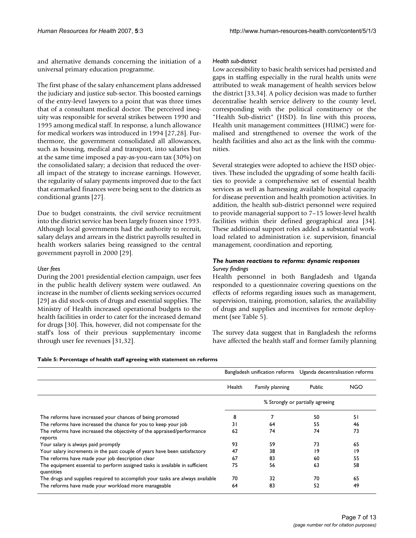and alternative demands concerning the initiation of a universal primary education programme.

The first phase of the salary enhancement plans addressed the judiciary and justice sub-sector. This boosted earnings of the entry-level lawyers to a point that was three times that of a consultant medical doctor. The perceived inequity was responsible for several strikes between 1990 and 1995 among medical staff. In response, a lunch allowance for medical workers was introduced in 1994 [27,28]. Furthermore, the government consolidated all allowances, such as housing, medical and transport, into salaries but at the same time imposed a pay-as-you-earn tax (30%) on the consolidated salary; a decision that reduced the overall impact of the strategy to increase earnings. However, the regularity of salary payments improved due to the fact that earmarked finances were being sent to the districts as conditional grants [27].

Due to budget constraints, the civil service recruitment into the district service has been largely frozen since 1993. Although local governments had the authority to recruit, salary delays and arrears in the district payrolls resulted in health workers salaries being reassigned to the central government payroll in 2000 [29].

#### *User fees*

During the 2001 presidential election campaign, user fees in the public health delivery system were outlawed. An increase in the number of clients seeking services occurred [29] as did stock-outs of drugs and essential supplies. The Ministry of Health increased operational budgets to the health facilities in order to cater for the increased demand for drugs [30]. This, however, did not compensate for the staff's loss of their previous supplementary income through user fee revenues [31,32].

#### *Health sub-district*

Low accessibility to basic health services had persisted and gaps in staffing especially in the rural health units were attributed to weak management of health services below the district [33,34]. A policy decision was made to further decentralise health service delivery to the county level, corresponding with the political constituency or the "Health Sub-district" (HSD). In line with this process, Health unit management committees (HUMC) were formalised and strengthened to oversee the work of the health facilities and also act as the link with the communities.

Several strategies were adopted to achieve the HSD objectives. These included the upgrading of some health facilities to provide a comprehensive set of essential health services as well as harnessing available hospital capacity for disease prevention and health promotion activities. In addition, the health sub-district personnel were required to provide managerial support to 7–15 lower-level health facilities within their defined geographical area [34]. These additional support roles added a substantial workload related to administration i.e. supervision, financial management, coordination and reporting.

#### *The human reactions to reforms: dynamic responses Survey findings*

Health personnel in both Bangladesh and Uganda responded to a questionnaire covering questions on the effects of reforms regarding issues such as management, supervision, training, promotion, salaries, the availability of drugs and supplies and incentives for remote deployment (see Table 5).

The survey data suggest that in Bangladesh the reforms have affected the health staff and former family planning

| Table 5: Percentage of health staff agreeing with statement on reforms |  |  |  |
|------------------------------------------------------------------------|--|--|--|
|                                                                        |  |  |  |

|                                                                                            |                                  |                 | Bangladesh unification reforms Uganda decentralisation reforms |     |
|--------------------------------------------------------------------------------------------|----------------------------------|-----------------|----------------------------------------------------------------|-----|
|                                                                                            | Health                           | Family planning | Public                                                         | NGO |
|                                                                                            | % Strongly or partially agreeing |                 |                                                                |     |
| The reforms have increased your chances of being promoted                                  | 8                                |                 | 50                                                             | 51  |
| The reforms have increased the chance for you to keep your job                             | 31                               | 64              | 55                                                             | 46  |
| The reforms have increased the objectivity of the appraised/performance<br>reports         | 62                               | 74              | 74                                                             | 73  |
| Your salary is always paid promptly                                                        | 93                               | 59              | 73                                                             | 65  |
| Your salary increments in the past couple of years have been satisfactory                  | 47                               | 38              | 19                                                             | 19  |
| The reforms have made your job description clear                                           | 67                               | 83              | 60                                                             | 55  |
| The equipment essential to perform assigned tasks is available in sufficient<br>quantities | 75                               | 56              | 63                                                             | 58  |
| The drugs and supplies required to accomplish your tasks are always available              | 70                               | 32              | 70                                                             | 65  |
| The reforms have made your workload more manageable                                        | 64                               | 83              | 52                                                             | 49  |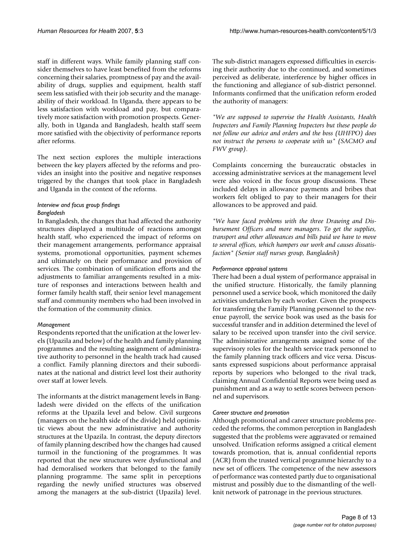staff in different ways. While family planning staff consider themselves to have least benefited from the reforms concerning their salaries, promptness of pay and the availability of drugs, supplies and equipment, health staff seem less satisfied with their job security and the manageability of their workload. In Uganda, there appears to be less satisfaction with workload and pay, but comparatively more satisfaction with promotion prospects. Generally, both in Uganda and Bangladesh, health staff seem more satisfied with the objectivity of performance reports after reforms.

The next section explores the multiple interactions between the key players affected by the reforms and provides an insight into the positive and negative responses triggered by the changes that took place in Bangladesh and Uganda in the context of the reforms.

#### *Interview and focus group findings Bangladesh*

In Bangladesh, the changes that had affected the authority structures displayed a multitude of reactions amongst health staff, who experienced the impact of reforms on their management arrangements, performance appraisal systems, promotional opportunities, payment schemes and ultimately on their performance and provision of services. The combination of unification efforts and the adjustments to familiar arrangements resulted in a mixture of responses and interactions between health and former family health staff, their senior level management staff and community members who had been involved in the formation of the community clinics.

#### *Management*

Respondents reported that the unification at the lower levels (Upazila and below) of the health and family planning programmes and the resulting assignment of administrative authority to personnel in the health track had caused a conflict. Family planning directors and their subordinates at the national and district level lost their authority over staff at lower levels.

The informants at the district management levels in Bangladesh were divided on the effects of the unification reforms at the Upazila level and below. Civil surgeons (managers on the health side of the divide) held optimistic views about the new administrative and authority structures at the Upazila. In contrast, the deputy directors of family planning described how the changes had caused turmoil in the functioning of the programmes. It was reported that the new structures were dysfunctional and had demoralised workers that belonged to the family planning programme. The same split in perceptions regarding the newly unified structures was observed among the managers at the sub-district (Upazila) level.

The sub-district managers expressed difficulties in exercising their authority due to the continued, and sometimes perceived as deliberate, interference by higher offices in the functioning and allegiance of sub-district personnel. Informants confirmed that the unification reform eroded the authority of managers:

*"We are supposed to supervise the Health Assistants, Health Inspectors and Family Planning Inspectors but these people do not follow our advice and orders and the boss (UHFPO) does not instruct the persons to cooperate with us" (SACMO and FWV group)*.

Complaints concerning the bureaucratic obstacles in accessing administrative services at the management level were also voiced in the focus group discussions. These included delays in allowance payments and bribes that workers felt obliged to pay to their managers for their allowances to be approved and paid.

*"We have faced problems with the three Drawing and Disbursement Officers and more managers. To get the supplies, transport and other allowances and bills paid we have to move to several offices, which hampers our work and causes dissatisfaction" (Senior staff nurses group, Bangladesh)*

#### *Performance appraisal systems*

There had been a dual system of performance appraisal in the unified structure. Historically, the family planning personnel used a service book, which monitored the daily activities undertaken by each worker. Given the prospects for transferring the Family Planning personnel to the revenue payroll, the service book was used as the basis for successful transfer and in addition determined the level of salary to be received upon transfer into the civil service. The administrative arrangements assigned some of the supervisory roles for the health service track personnel to the family planning track officers and vice versa. Discussants expressed suspicions about performance appraisal reports by superiors who belonged to the rival track, claiming Annual Confidential Reports were being used as punishment and as a way to settle scores between personnel and supervisors.

#### *Career structure and promotion*

Although promotional and career structure problems preceded the reforms, the common perception in Bangladesh suggested that the problems were aggravated or remained unsolved. Unification reforms assigned a critical element towards promotion, that is, annual confidential reports (ACR) from the trusted vertical programme hierarchy to a new set of officers. The competence of the new assessors of performance was contested partly due to organisational mistrust and possibly due to the dismantling of the wellknit network of patronage in the previous structures.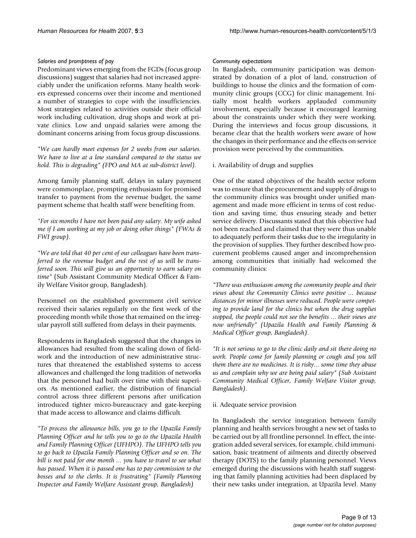#### *Salaries and promptness of pay*

Predominant views emerging from the FGDs (focus group discussions) suggest that salaries had not increased appreciably under the unification reforms. Many health workers expressed concerns over their income and mentioned a number of strategies to cope with the insufficiencies. Most strategies related to activities outside their official work including cultivation, drug shops and work at private clinics. Low and unpaid salaries were among the dominant concerns arising from focus group discussions.

*"We can hardly meet expenses for 2 weeks from our salaries. We have to live at a low standard compared to the status we hold. This is degrading" (FPO and MA at sub-district level)*.

Among family planning staff, delays in salary payment were commonplace, prompting enthusiasm for promised transfer to payment from the revenue budget, the same payment scheme that health staff were benefiting from.

*"For six months I have not been paid any salary. My wife asked me if I am working at my job or doing other things" (FWAs & FWI group)*.

*"We are told that 40 per cent of our colleagues have been transferred to the revenue budget and the rest of us will be transferred soon. This will give us an opportunity to earn salary on time"* (Sub Assistant Community Medical Officer & Family Welfare Visitor group, Bangladesh).

Personnel on the established government civil service received their salaries regularly on the first week of the proceeding month while those that remained on the irregular payroll still suffered from delays in their payments.

Respondents in Bangladesh suggested that the changes in allowances had resulted from the scaling down of fieldwork and the introduction of new administrative structures that threatened the established systems to access allowances and challenged the long tradition of networks that the personnel had built over time with their superiors. As mentioned earlier, the distribution of financial control across three different persons after unification introduced tighter micro-bureaucracy and gate-keeping that made access to allowance and claims difficult.

*"To process the allowance bills, you go to the Upazila Family Planning Officer and he tells you to go to the Upazila Health and Family Planning Officer (UFHPO). The UFHPO tells you to go back to Upazila Family Planning Officer and so on. The bill is not paid for one month ... you have to travel to see what has passed. When it is passed one has to pay commission to the bosses and to the clerks. It is frustrating" (Family Planning Inspector and Family Welfare Assistant group, Bangladesh)*

#### *Community expectations*

In Bangladesh, community participation was demonstrated by donation of a plot of land, construction of buildings to house the clinics and the formation of community clinic groups (CCG) for clinic management. Initially most health workers applauded community involvement, especially because it encouraged learning about the constraints under which they were working. During the interviews and focus group discussions, it became clear that the health workers were aware of how the changes in their performance and the effects on service provision were perceived by the communities.

i. Availability of drugs and supplies

One of the stated objectives of the health sector reform was to ensure that the procurement and supply of drugs to the community clinics was brought under unified management and made more efficient in terms of cost reduction and saving time, thus ensuring steady and better service delivery. Discussants stated that this objective had not been reached and claimed that they were thus unable to adequately perform their tasks due to the irregularity in the provision of supplies. They further described how procurement problems caused anger and incomprehension among communities that initially had welcomed the community clinics:

*"There was enthusiasm among the community people and their views about the Community Clinics were positive ... because distances for minor illnesses were reduced. People were competing to provide land for the clinics but when the drug supplies stopped, the people could not see the benefits ... their views are now unfriendly" (Upazila Health and Family Planning & Medical Officer group, Bangladesh)*.

*"It is not serious to go to the clinic daily and sit there doing no work. People come for family planning or cough and you tell them there are no medicines. It is risky... some time they abuse us and complain why we are being paid salary" (Sub Assistant Community Medical Officer, Family Welfare Visitor group, Bangladesh)*.

#### ii. Adequate service provision

In Bangladesh the service integration between family planning and health services brought a new set of tasks to be carried out by all frontline personnel. In effect, the integration added several services, for example, child immunisation, basic treatment of ailments and directly observed therapy (DOTS) to the family planning personnel. Views emerged during the discussions with health staff suggesting that family planning activities had been displaced by their new tasks under integration, at Upazila level. Many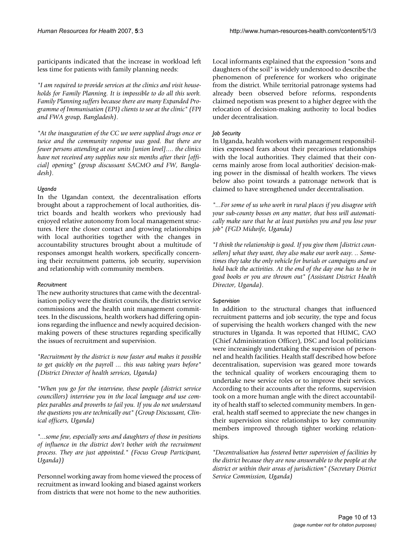participants indicated that the increase in workload left less time for patients with family planning needs:

*"I am required to provide services at the clinics and visit households for Family Planning. It is impossible to do all this work. Family Planning suffers because there are many Expanded Programme of Immunisation (EPI) clients to see at the clinic" (FPI and FWA group, Bangladesh)*.

*"At the inauguration of the CC we were supplied drugs once or twice and the community response was good. But there are fewer persons attending at our units [union level].... the clinics have not received any supplies now six months after their [official] opening" (group discussant SACMO and FW, Bangladesh)*.

#### *Uganda*

In the Ugandan context, the decentralisation efforts brought about a rapprochement of local authorities, district boards and health workers who previously had enjoyed relative autonomy from local management structures. Here the closer contact and growing relationships with local authorities together with the changes in accountability structures brought about a multitude of responses amongst health workers, specifically concerning their recruitment patterns, job security, supervision and relationship with community members.

#### *Recruitment*

The new authority structures that came with the decentralisation policy were the district councils, the district service commissions and the health unit management committees. In the discussions, health workers had differing opinions regarding the influence and newly acquired decisionmaking powers of these structures regarding specifically the issues of recruitment and supervision.

*"Recruitment by the district is now faster and makes it possible to get quickly on the payroll ... this was taking years before" (District Director of health services, Uganda)*

*"When you go for the interview, these people (district service councillors) interview you in the local language and use complex parables and proverbs to fail you. If you do not understand the questions you are technically out" (Group Discussant, Clinical officers, Uganda)*

*"...some few, especially sons and daughters of those in positions of influence in the district don't bother with the recruitment process. They are just appointed." (Focus Group Participant, Uganda))*

Personnel working away from home viewed the process of recruitment as inward looking and biased against workers from districts that were not home to the new authorities.

Local informants explained that the expression "sons and daughters of the soil" is widely understood to describe the phenomenon of preference for workers who originate from the district. While territorial patronage systems had already been observed before reforms, respondents claimed nepotism was present to a higher degree with the relocation of decision-making authority to local bodies under decentralisation.

### *Job Security*

In Uganda, health workers with management responsibilities expressed fears about their precarious relationships with the local authorities. They claimed that their concerns mainly arose from local authorities' decision-making power in the dismissal of health workers. The views below also point towards a patronage network that is claimed to have strengthened under decentralisation.

*"...For some of us who work in rural places if you disagree with your sub-county bosses on any matter, that boss will automatically make sure that he at least punishes you and you lose your job" (FGD Midwife, Uganda)*

*"I think the relationship is good. If you give them [district counsellors] what they want, they also make our work easy. .. Sometimes they take the only vehicle for burials or campaigns and we hold back the activities. At the end of the day one has to be in good books or you are thrown out" (Assistant District Health Director, Uganda)*.

#### *Supervision*

In addition to the structural changes that influenced recruitment patterns and job security, the type and focus of supervising the health workers changed with the new structures in Uganda. It was reported that HUMC, CAO (Chief Administration Officer), DSC and local politicians were increasingly undertaking the supervision of personnel and health facilities. Health staff described how before decentralisation, supervision was geared more towards the technical quality of workers encouraging them to undertake new service roles or to improve their services. According to their accounts after the reforms, supervision took on a more human angle with the direct accountability of health staff to selected community members. In general, health staff seemed to appreciate the new changes in their supervision since relationships to key community members improved through tighter working relationships.

*"Decentralisation has fostered better supervision of facilities by the district because they are now answerable to the people at the district or within their areas of jurisdiction" (Secretary District Service Commission, Uganda)*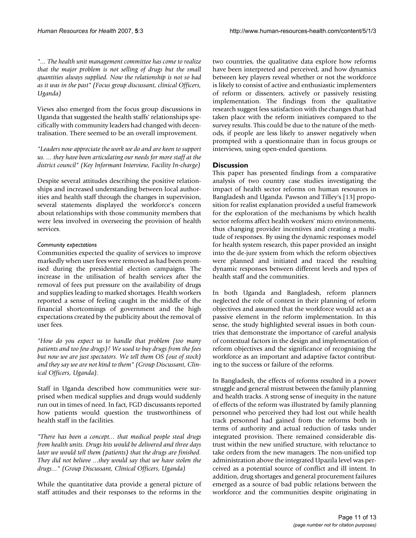*"... The health unit management committee has come to realize that the major problem is not selling of drugs but the small quantities always supplied. Now the relationship is not so bad as it was in the past" (Focus group discussant, clinical Officers, Uganda)*

Views also emerged from the focus group discussions in Uganda that suggested the health staffs' relationships specifically with community leaders had changed with decentralisation. There seemed to be an overall improvement.

*"Leaders now appreciate the work we do and are keen to support us. ... they have been articulating our needs for more staff at the district council" (Key Informant Interview, Facility In-charge)*

Despite several attitudes describing the positive relationships and increased understanding between local authorities and health staff through the changes in supervision, several statements displayed the workforce's concern about relationships with those community members that were less involved in overseeing the provision of health services.

#### *Community expectations*

Communities expected the quality of services to improve markedly when user fees were removed as had been promised during the presidential election campaigns. The increase in the utilisation of health services after the removal of fees put pressure on the availability of drugs and supplies leading to marked shortages. Health workers reported a sense of feeling caught in the middle of the financial shortcomings of government and the high expectations created by the publicity about the removal of user fees.

*"How do you expect us to handle that problem (too many patients and too few drugs)? We used to buy drugs from the fees but now we are just spectators. We tell them OS (out of stock) and they say we are not kind to them" (Group Discussant, Clinical Officers, Uganda)*.

Staff in Uganda described how communities were surprised when medical supplies and drugs would suddenly run out in times of need. In fact, FGD discussants reported how patients would question the trustworthiness of health staff in the facilities.

*"There has been a concept... that medical people steal drugs from health units. Drugs kits would be delivered and three days later we would tell them (patients) that the drugs are finished. They did not believe ...they would say that we have stolen the drugs..." (Group Discussant, Clinical Officers, Uganda)*

While the quantitative data provide a general picture of staff attitudes and their responses to the reforms in the two countries, the qualitative data explore how reforms have been interpreted and perceived, and how dynamics between key players reveal whether or not the workforce is likely to consist of active and enthusiastic implementers of reform or dissenters, actively or passively resisting implementation. The findings from the qualitative research suggest less satisfaction with the changes that had taken place with the reform initiatives compared to the survey results. This could be due to the nature of the methods, if people are less likely to answer negatively when prompted with a questionnaire than in focus groups or interviews, using open-ended questions.

#### **Discussion**

This paper has presented findings from a comparative analysis of two country case studies investigating the impact of health sector reforms on human resources in Bangladesh and Uganda. Pawson and Tilley's [13] proposition for realist explanation provided a useful framework for the exploration of the mechanisms by which health sector reforms affect health workers' micro environments, thus changing provider incentives and creating a multitude of responses. By using the dynamic responses model for health system research, this paper provided an insight into the de-jure system from which the reform objectives were planned and initiated and traced the resulting dynamic responses between different levels and types of health staff and the communities.

In both Uganda and Bangladesh, reform planners neglected the role of context in their planning of reform objectives and assumed that the workforce would act as a passive element in the reform implementation. In this sense, the study highlighted several issues in both countries that demonstrate the importance of careful analysis of contextual factors in the design and implementation of reform objectives and the significance of recognising the workforce as an important and adaptive factor contributing to the success or failure of the reforms.

In Bangladesh, the effects of reforms resulted in a power struggle and general mistrust between the family planning and health tracks. A strong sense of inequity in the nature of effects of the reform was illustrated by family planning personnel who perceived they had lost out while health track personnel had gained from the reforms both in terms of authority and actual reduction of tasks under integrated provision. There remained considerable distrust within the new unified structure, with reluctance to take orders from the new managers. The non-unified top administration above the integrated Upazila level was perceived as a potential source of conflict and ill intent. In addition, drug shortages and general procurement failures emerged as a source of bad public relations between the workforce and the communities despite originating in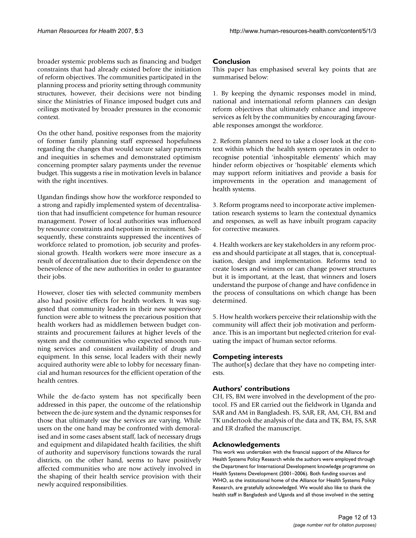broader systemic problems such as financing and budget constraints that had already existed before the initiation of reform objectives. The communities participated in the planning process and priority setting through community structures, however, their decisions were not binding since the Ministries of Finance imposed budget cuts and ceilings motivated by broader pressures in the economic context.

On the other hand, positive responses from the majority of former family planning staff expressed hopefulness regarding the changes that would secure salary payments and inequities in schemes and demonstrated optimism concerning prompter salary payments under the revenue budget. This suggests a rise in motivation levels in balance with the right incentives.

Ugandan findings show how the workforce responded to a strong and rapidly implemented system of decentralisation that had insufficient competence for human resource management. Power of local authorities was influenced by resource constraints and nepotism in recruitment. Subsequently, these constraints suppressed the incentives of workforce related to promotion, job security and professional growth. Health workers were more insecure as a result of decentralisation due to their dependence on the benevolence of the new authorities in order to guarantee their jobs.

However, closer ties with selected community members also had positive effects for health workers. It was suggested that community leaders in their new supervisory function were able to witness the precarious position that health workers had as middlemen between budget constraints and procurement failures at higher levels of the system and the communities who expected smooth running services and consistent availability of drugs and equipment. In this sense, local leaders with their newly acquired authority were able to lobby for necessary financial and human resources for the efficient operation of the health centres.

While the de-facto system has not specifically been addressed in this paper, the outcome of the relationship between the de-jure system and the dynamic responses for those that ultimately use the services are varying. While users on the one hand may be confronted with demoralised and in some cases absent staff, lack of necessary drugs and equipment and dilapidated health facilities, the shift of authority and supervisory functions towards the rural districts, on the other hand, seems to have positively affected communities who are now actively involved in the shaping of their health service provision with their newly acquired responsibilities.

#### **Conclusion**

This paper has emphasised several key points that are summarised below:

1. By keeping the dynamic responses model in mind, national and international reform planners can design reform objectives that ultimately enhance and improve services as felt by the communities by encouraging favourable responses amongst the workforce.

2. Reform planners need to take a closer look at the context within which the health system operates in order to recognise potential 'inhospitable elements' which may hinder reform objectives or 'hospitable' elements which may support reform initiatives and provide a basis for improvements in the operation and management of health systems.

3. Reform programs need to incorporate active implementation research systems to learn the contextual dynamics and responses, as well as have inbuilt program capacity for corrective measures.

4. Health workers are key stakeholders in any reform process and should participate at all stages, that is, conceptualisation, design and implementation. Reforms tend to create losers and winners or can change power structures but it is important, at the least, that winners and losers understand the purpose of change and have confidence in the process of consultations on which change has been determined.

5. How health workers perceive their relationship with the community will affect their job motivation and performance. This is an important but neglected criterion for evaluating the impact of human sector reforms.

#### **Competing interests**

The author(s) declare that they have no competing interests.

#### **Authors' contributions**

CH, FS, BM were involved in the development of the protocol. FS and ER carried out the fieldwork in Uganda and SAR and AM in Bangladesh. FS, SAR, ER, AM, CH, BM and TK undertook the analysis of the data and TK, BM, FS, SAR and ER drafted the manuscript.

#### **Acknowledgements**

This work was undertaken with the financial support of the Alliance for Health Systems Policy Research while the authors were employed through the Department for International Development knowledge programme on Health Systems Development (2001–2006). Both funding sources and WHO, as the institutional home of the Alliance for Health Systems Policy Research, are gratefully acknowledged. We would also like to thank the health staff in Bangladesh and Uganda and all those involved in the setting